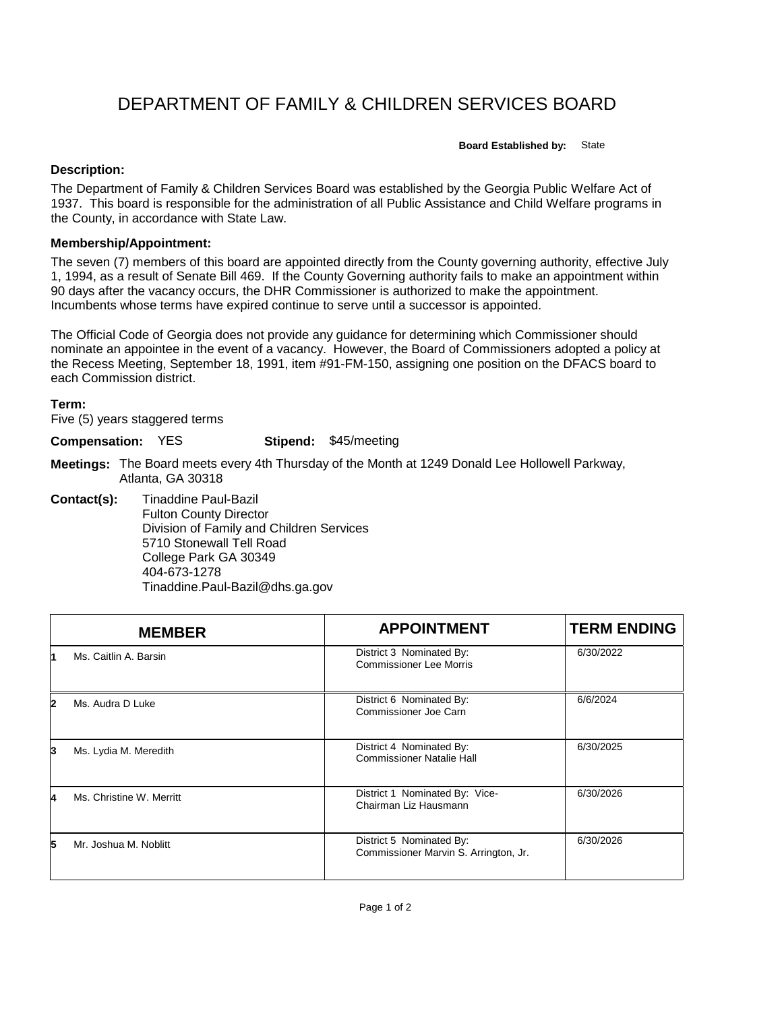## DEPARTMENT OF FAMILY & CHILDREN SERVICES BOARD

**Board Established by:** State

## **Description:**

The Department of Family & Children Services Board was established by the Georgia Public Welfare Act of 1937. This board is responsible for the administration of all Public Assistance and Child Welfare programs in the County, in accordance with State Law.

## **Membership/Appointment:**

The seven (7) members of this board are appointed directly from the County governing authority, effective July 1, 1994, as a result of Senate Bill 469. If the County Governing authority fails to make an appointment within 90 days after the vacancy occurs, the DHR Commissioner is authorized to make the appointment. Incumbents whose terms have expired continue to serve until a successor is appointed.

The Official Code of Georgia does not provide any guidance for determining which Commissioner should nominate an appointee in the event of a vacancy. However, the Board of Commissioners adopted a policy at the Recess Meeting, September 18, 1991, item #91-FM-150, assigning one position on the DFACS board to each Commission district.

## **Term:**

Five (5) years staggered terms

**Compensation:** YES

**Stipend:** \$45/meeting

- **Meetings:** The Board meets every 4th Thursday of the Month at 1249 Donald Lee Hollowell Parkway, Atlanta, GA 30318
- **Contact(s):** Tinaddine Paul-Bazil Fulton County Director Division of Family and Children Services 5710 Stonewall Tell Road College Park GA 30349 404-673-1278 Tinaddine.Paul-Bazil@dhs.ga.gov

|   | <b>MEMBER</b>            | <b>APPOINTMENT</b>                                                | <b>TERM ENDING</b> |
|---|--------------------------|-------------------------------------------------------------------|--------------------|
|   | Ms. Caitlin A. Barsin    | District 3 Nominated By:<br><b>Commissioner Lee Morris</b>        | 6/30/2022          |
| 2 | Ms. Audra D Luke         | District 6 Nominated By:<br>Commissioner Joe Carn                 | 6/6/2024           |
| 3 | Ms. Lydia M. Meredith    | District 4 Nominated By:<br><b>Commissioner Natalie Hall</b>      | 6/30/2025          |
| 4 | Ms. Christine W. Merritt | District 1 Nominated By: Vice-<br>Chairman Liz Hausmann           | 6/30/2026          |
| 5 | Mr. Joshua M. Noblitt    | District 5 Nominated By:<br>Commissioner Marvin S. Arrington, Jr. | 6/30/2026          |